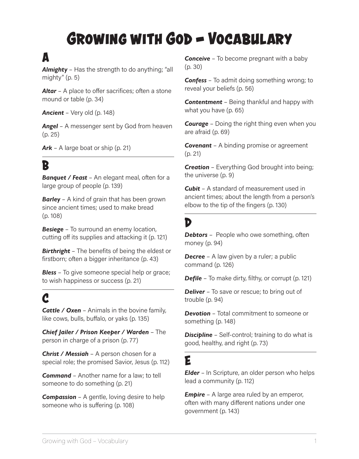# **Growing with God - Vocabulary**

## **A**

*Almighty* – Has the strength to do anything; "all mighty" (p. 5)

**Altar** - A place to offer sacrifices; often a stone mound or table (p. 34)

*Ancient* – Very old (p. 148)

*Angel* – A messenger sent by God from heaven (p. 25)

*Ark* – A large boat or ship (p. 21)

# **B**

*Banquet / Feast* – An elegant meal, often for a large group of people (p. 139)

*Barley* – A kind of grain that has been grown since ancient times; used to make bread (p. 108)

**Besiege** – To surround an enemy location, cutting off its supplies and attacking it (p. 121)

*Birthright* – The benefits of being the eldest or firstborn; often a bigger inheritance (p. 43)

**Bless** – To give someone special help or grace; to wish happiness or success (p. 21)

# **C**

*Cattle / Oxen* – Animals in the bovine family, like cows, bulls, buffalo, or yaks (p. 135)

*Chief Jailer / Prison Keeper / Warden* – The person in charge of a prison (p. 77)

*Christ / Messiah* – A person chosen for a special role; the promised Savior, Jesus (p. 112)

*Command* – Another name for a law; to tell someone to do something (p. 21)

*Compassion* – A gentle, loving desire to help someone who is suffering (p. 108)

**Conceive** – To become pregnant with a baby (p. 30)

*Confess* – To admit doing something wrong; to reveal your beliefs (p. 56)

*Contentment* – Being thankful and happy with what you have (p. 65)

*Courage* – Doing the right thing even when you are afraid (p. 69)

*Covenant* – A binding promise or agreement (p. 21)

**Creation** – Everything God brought into being; the universe (p. 9)

*Cubit* – A standard of measurement used in ancient times; about the length from a person's elbow to the tip of the fingers (p. 130)

## **D**

**Debtors** – People who owe something, often money (p. 94)

**Decree** – A law given by a ruler; a public command (p. 126)

**Defile** – To make dirty, filthy, or corrupt (p. 121)

**Deliver** – To save or rescue; to bring out of trouble (p. 94)

*Devotion* – Total commitment to someone or something (p. 148)

**Discipline** – Self-control; training to do what is good, healthy, and right (p. 73)

#### **E**

*Elder* – In Scripture, an older person who helps lead a community (p. 112)

*Empire* – A large area ruled by an emperor, often with many different nations under one government (p. 143)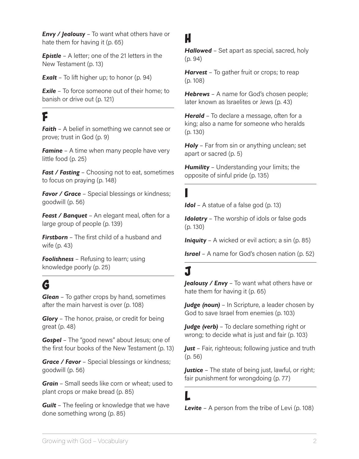*Envy / Jealousy* – To want what others have or hate them for having it (p. 65)

*Epistle* – A letter; one of the 21 letters in the New Testament (p. 13)

**Exalt** – To lift higher up; to honor (p. 94)

**Exile** – To force someone out of their home; to banish or drive out (p. 121)

## **F**

**Faith** – A belief in something we cannot see or prove; trust in God (p. 9)

*Famine* – A time when many people have very little food (p. 25)

*Fast / Fasting* – Choosing not to eat, sometimes to focus on praying (p. 148)

**Favor / Grace** – Special blessings or kindness; goodwill (p. 56)

*Feast / Banquet* – An elegant meal, often for a large group of people (p. 139)

*Firstborn* – The first child of a husband and wife (p. 43)

**Foolishness** – Refusing to learn; using knowledge poorly (p. 25)

# **G**

*Glean* – To gather crops by hand, sometimes after the main harvest is over (p. 108)

*Glory* – The honor, praise, or credit for being great (p. 48)

*Gospel* – The "good news" about Jesus; one of the first four books of the New Testament (p. 13)

*Grace / Favor* – Special blessings or kindness; goodwill (p. 56)

*Grain* – Small seeds like corn or wheat; used to plant crops or make bread (p. 85)

*Guilt* – The feeling or knowledge that we have done something wrong (p. 85)

#### **H**

*Hallowed* – Set apart as special, sacred, holy (p. 94)

*Harvest* – To gather fruit or crops; to reap (p. 108)

*Hebrews* – A name for God's chosen people; later known as Israelites or Jews (p. 43)

*Herald* – To declare a message, often for a king; also a name for someone who heralds (p. 130)

*Holy* – Far from sin or anything unclean; set apart or sacred (p. 5)

**Humility** – Understanding your limits; the opposite of sinful pride (p. 135)

#### **I**

*Idol* – A statue of a false god (p. 13)

*Idolatry* – The worship of idols or false gods (p. 130)

*Iniquity* – A wicked or evil action; a sin (p. 85)

*Israel* – A name for God's chosen nation (p. 52)

# **J**

*Jealousy / Envy* – To want what others have or hate them for having it (p. 65)

*Judge (noun)* – In Scripture, a leader chosen by God to save Israel from enemies (p. 103)

*Judge (verb)* – To declare something right or wrong; to decide what is just and fair (p. 103)

*Just* – Fair, righteous; following justice and truth (p. 56)

*Justice* – The state of being just, lawful, or right; fair punishment for wrongdoing (p. 77)

### **L**

**Levite** – A person from the tribe of Levi (p. 108)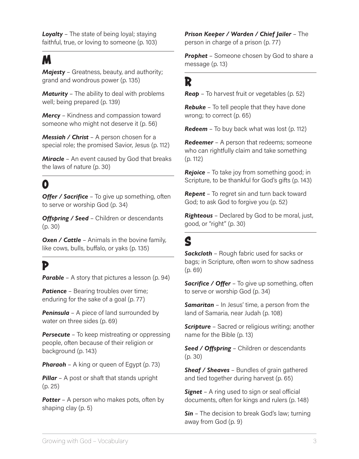*Loyalty* – The state of being loyal; staying faithful, true, or loving to someone (p. 103)

### **M**

*Majesty* – Greatness, beauty, and authority; grand and wondrous power (p. 135)

*Maturity* – The ability to deal with problems well; being prepared (p. 139)

*Mercy* – Kindness and compassion toward someone who might not deserve it (p. 56)

*Messiah / Christ* – A person chosen for a special role; the promised Savior, Jesus (p. 112)

*Miracle* – An event caused by God that breaks the laws of nature (p. 30)

## **O**

**Offer / Sacrifice** – To give up something, often to serve or worship God (p. 34)

**Offspring / Seed** – Children or descendants (p. 30)

**Oxen / Cattle** – Animals in the bovine family, like cows, bulls, buffalo, or yaks (p. 135)

#### **P**

**Parable** – A story that pictures a lesson (p. 94)

**Patience** – Bearing troubles over time; enduring for the sake of a goal (p. 77)

**Peninsula** – A piece of land surrounded by water on three sides (p. 69)

**Persecute** – To keep mistreating or oppressing people, often because of their religion or background (p. 143)

**Pharaoh** – A king or queen of Egypt (p. 73)

**Pillar** – A post or shaft that stands upright (p. 25)

**Potter** – A person who makes pots, often by shaping clay (p. 5)

*Prison Keeper / Warden / Chief Jailer* – The person in charge of a prison (p. 77)

**Prophet** – Someone chosen by God to share a message (p. 13)

#### **R**

*Reap* – To harvest fruit or vegetables (p. 52)

*Rebuke* – To tell people that they have done wrong; to correct (p. 65)

*Redeem* – To buy back what was lost (p. 112)

**Redeemer** – A person that redeems; someone who can rightfully claim and take something (p. 112)

**Rejoice** – To take joy from something good; in Scripture, to be thankful for God's gifts (p. 143)

*Repent* – To regret sin and turn back toward God; to ask God to forgive you (p. 52)

*Righteous* – Declared by God to be moral, just, good, or "right" (p. 30)

### **S**

*Sackcloth* – Rough fabric used for sacks or bags; in Scripture, often worn to show sadness (p. 69)

**Sacrifice / Offer** – To give up something, often to serve or worship God (p. 34)

*Samaritan* – In Jesus' time, a person from the land of Samaria, near Judah (p. 108)

**Scripture** – Sacred or religious writing; another name for the Bible (p. 13)

*Seed / Offspring* – Children or descendants (p. 30)

*Sheaf / Sheaves* – Bundles of grain gathered and tied together during harvest (p. 65)

**Signet** – A ring used to sign or seal official documents, often for kings and rulers (p. 148)

**Sin** – The decision to break God's law; turning away from God (p. 9)